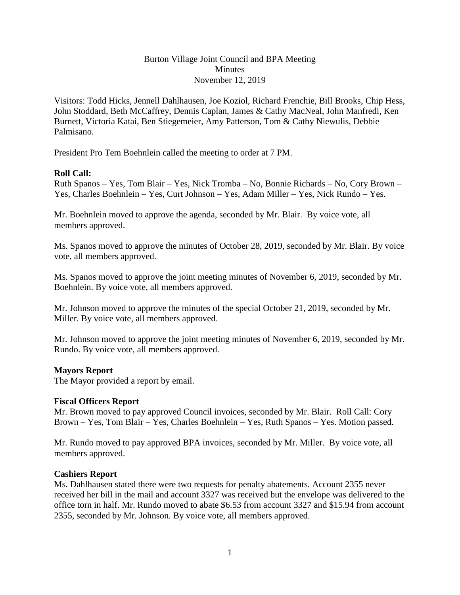### Burton Village Joint Council and BPA Meeting **Minutes** November 12, 2019

Visitors: Todd Hicks, Jennell Dahlhausen, Joe Koziol, Richard Frenchie, Bill Brooks, Chip Hess, John Stoddard, Beth McCaffrey, Dennis Caplan, James & Cathy MacNeal, John Manfredi, Ken Burnett, Victoria Katai, Ben Stiegemeier, Amy Patterson, Tom & Cathy Niewulis, Debbie Palmisano.

President Pro Tem Boehnlein called the meeting to order at 7 PM.

### **Roll Call:**

Ruth Spanos – Yes, Tom Blair – Yes, Nick Tromba – No, Bonnie Richards – No, Cory Brown – Yes, Charles Boehnlein – Yes, Curt Johnson – Yes, Adam Miller – Yes, Nick Rundo – Yes.

Mr. Boehnlein moved to approve the agenda, seconded by Mr. Blair. By voice vote, all members approved.

Ms. Spanos moved to approve the minutes of October 28, 2019, seconded by Mr. Blair. By voice vote, all members approved.

Ms. Spanos moved to approve the joint meeting minutes of November 6, 2019, seconded by Mr. Boehnlein. By voice vote, all members approved.

Mr. Johnson moved to approve the minutes of the special October 21, 2019, seconded by Mr. Miller. By voice vote, all members approved.

Mr. Johnson moved to approve the joint meeting minutes of November 6, 2019, seconded by Mr. Rundo. By voice vote, all members approved.

### **Mayors Report**

The Mayor provided a report by email.

### **Fiscal Officers Report**

Mr. Brown moved to pay approved Council invoices, seconded by Mr. Blair. Roll Call: Cory Brown – Yes, Tom Blair – Yes, Charles Boehnlein – Yes, Ruth Spanos – Yes. Motion passed.

Mr. Rundo moved to pay approved BPA invoices, seconded by Mr. Miller. By voice vote, all members approved.

### **Cashiers Report**

Ms. Dahlhausen stated there were two requests for penalty abatements. Account 2355 never received her bill in the mail and account 3327 was received but the envelope was delivered to the office torn in half. Mr. Rundo moved to abate \$6.53 from account 3327 and \$15.94 from account 2355, seconded by Mr. Johnson. By voice vote, all members approved.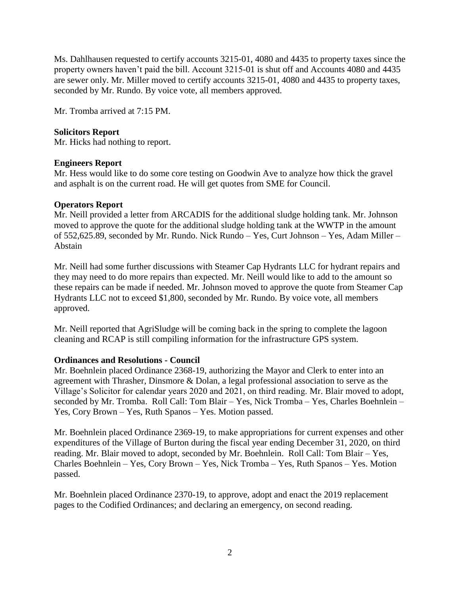Ms. Dahlhausen requested to certify accounts 3215-01, 4080 and 4435 to property taxes since the property owners haven't paid the bill. Account 3215-01 is shut off and Accounts 4080 and 4435 are sewer only. Mr. Miller moved to certify accounts 3215-01, 4080 and 4435 to property taxes, seconded by Mr. Rundo. By voice vote, all members approved.

Mr. Tromba arrived at 7:15 PM.

## **Solicitors Report**

Mr. Hicks had nothing to report.

### **Engineers Report**

Mr. Hess would like to do some core testing on Goodwin Ave to analyze how thick the gravel and asphalt is on the current road. He will get quotes from SME for Council.

### **Operators Report**

Mr. Neill provided a letter from ARCADIS for the additional sludge holding tank. Mr. Johnson moved to approve the quote for the additional sludge holding tank at the WWTP in the amount of 552,625.89, seconded by Mr. Rundo. Nick Rundo – Yes, Curt Johnson – Yes, Adam Miller – Abstain

Mr. Neill had some further discussions with Steamer Cap Hydrants LLC for hydrant repairs and they may need to do more repairs than expected. Mr. Neill would like to add to the amount so these repairs can be made if needed. Mr. Johnson moved to approve the quote from Steamer Cap Hydrants LLC not to exceed \$1,800, seconded by Mr. Rundo. By voice vote, all members approved.

Mr. Neill reported that AgriSludge will be coming back in the spring to complete the lagoon cleaning and RCAP is still compiling information for the infrastructure GPS system.

# **Ordinances and Resolutions - Council**

Mr. Boehnlein placed Ordinance 2368-19, authorizing the Mayor and Clerk to enter into an agreement with Thrasher, Dinsmore & Dolan, a legal professional association to serve as the Village's Solicitor for calendar years 2020 and 2021, on third reading. Mr. Blair moved to adopt, seconded by Mr. Tromba. Roll Call: Tom Blair – Yes, Nick Tromba – Yes, Charles Boehnlein – Yes, Cory Brown – Yes, Ruth Spanos – Yes. Motion passed.

Mr. Boehnlein placed Ordinance 2369-19, to make appropriations for current expenses and other expenditures of the Village of Burton during the fiscal year ending December 31, 2020, on third reading. Mr. Blair moved to adopt, seconded by Mr. Boehnlein. Roll Call: Tom Blair – Yes, Charles Boehnlein – Yes, Cory Brown – Yes, Nick Tromba – Yes, Ruth Spanos – Yes. Motion passed.

Mr. Boehnlein placed Ordinance 2370-19, to approve, adopt and enact the 2019 replacement pages to the Codified Ordinances; and declaring an emergency, on second reading.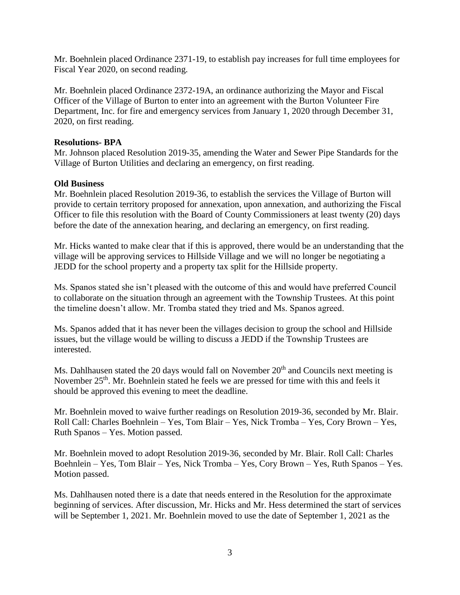Mr. Boehnlein placed Ordinance 2371-19, to establish pay increases for full time employees for Fiscal Year 2020, on second reading.

Mr. Boehnlein placed Ordinance 2372-19A, an ordinance authorizing the Mayor and Fiscal Officer of the Village of Burton to enter into an agreement with the Burton Volunteer Fire Department, Inc. for fire and emergency services from January 1, 2020 through December 31, 2020, on first reading.

### **Resolutions- BPA**

Mr. Johnson placed Resolution 2019-35, amending the Water and Sewer Pipe Standards for the Village of Burton Utilities and declaring an emergency, on first reading.

### **Old Business**

Mr. Boehnlein placed Resolution 2019-36, to establish the services the Village of Burton will provide to certain territory proposed for annexation, upon annexation, and authorizing the Fiscal Officer to file this resolution with the Board of County Commissioners at least twenty (20) days before the date of the annexation hearing, and declaring an emergency, on first reading.

Mr. Hicks wanted to make clear that if this is approved, there would be an understanding that the village will be approving services to Hillside Village and we will no longer be negotiating a JEDD for the school property and a property tax split for the Hillside property.

Ms. Spanos stated she isn't pleased with the outcome of this and would have preferred Council to collaborate on the situation through an agreement with the Township Trustees. At this point the timeline doesn't allow. Mr. Tromba stated they tried and Ms. Spanos agreed.

Ms. Spanos added that it has never been the villages decision to group the school and Hillside issues, but the village would be willing to discuss a JEDD if the Township Trustees are interested.

Ms. Dahlhausen stated the 20 days would fall on November 20<sup>th</sup> and Councils next meeting is November 25<sup>th</sup>. Mr. Boehnlein stated he feels we are pressed for time with this and feels it should be approved this evening to meet the deadline.

Mr. Boehnlein moved to waive further readings on Resolution 2019-36, seconded by Mr. Blair. Roll Call: Charles Boehnlein – Yes, Tom Blair – Yes, Nick Tromba – Yes, Cory Brown – Yes, Ruth Spanos – Yes. Motion passed.

Mr. Boehnlein moved to adopt Resolution 2019-36, seconded by Mr. Blair. Roll Call: Charles Boehnlein – Yes, Tom Blair – Yes, Nick Tromba – Yes, Cory Brown – Yes, Ruth Spanos – Yes. Motion passed.

Ms. Dahlhausen noted there is a date that needs entered in the Resolution for the approximate beginning of services. After discussion, Mr. Hicks and Mr. Hess determined the start of services will be September 1, 2021. Mr. Boehnlein moved to use the date of September 1, 2021 as the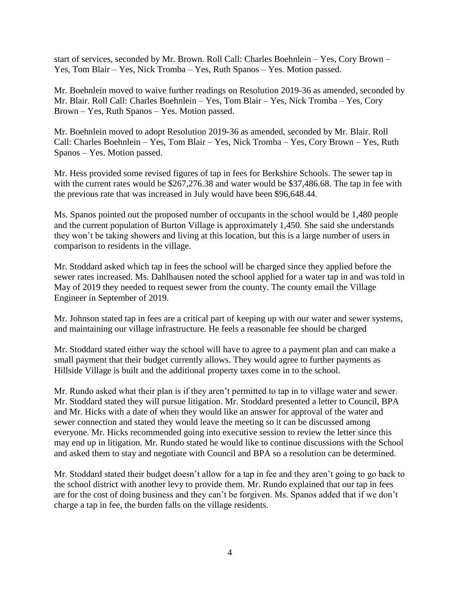start of services, seconded by Mr. Brown. Roll Call: Charles Boehnlein – Yes, Cory Brown – Yes, Tom Blair – Yes, Nick Tromba – Yes, Ruth Spanos – Yes. Motion passed.

Mr. Boehnlein moved to waive further readings on Resolution 2019-36 as amended, seconded by Mr. Blair. Roll Call: Charles Boehnlein – Yes, Tom Blair – Yes, Nick Tromba – Yes, Cory Brown – Yes, Ruth Spanos – Yes. Motion passed.

Mr. Boehnlein moved to adopt Resolution 2019-36 as amended, seconded by Mr. Blair. Roll Call: Charles Boehnlein – Yes, Tom Blair – Yes, Nick Tromba – Yes, Cory Brown – Yes, Ruth Spanos – Yes. Motion passed.

Mr. Hess provided some revised figures of tap in fees for Berkshire Schools. The sewer tap in with the current rates would be \$267,276.38 and water would be \$37,486.68. The tap in fee with the previous rate that was increased in July would have been \$96,648.44.

Ms. Spanos pointed out the proposed number of occupants in the school would be 1,480 people and the current population of Burton Village is approximately 1,450. She said she understands they won't be taking showers and living at this location, but this is a large number of users in comparison to residents in the village.

Mr. Stoddard asked which tap in fees the school will be charged since they applied before the sewer rates increased. Ms. Dahlhausen noted the school applied for a water tap in and was told in May of 2019 they needed to request sewer from the county. The county email the Village Engineer in September of 2019.

Mr. Johnson stated tap in fees are a critical part of keeping up with our water and sewer systems, and maintaining our village infrastructure. He feels a reasonable fee should be charged

Mr. Stoddard stated either way the school will have to agree to a payment plan and can make a small payment that their budget currently allows. They would agree to further payments as Hillside Village is built and the additional property taxes come in to the school.

Mr. Rundo asked what their plan is if they aren't permitted to tap in to village water and sewer. Mr. Stoddard stated they will pursue litigation. Mr. Stoddard presented a letter to Council, BPA and Mr. Hicks with a date of when they would like an answer for approval of the water and sewer connection and stated they would leave the meeting so it can be discussed among everyone. Mr. Hicks recommended going into executive session to review the letter since this may end up in litigation. Mr. Rundo stated he would like to continue discussions with the School and asked them to stay and negotiate with Council and BPA so a resolution can be determined.

Mr. Stoddard stated their budget doesn't allow for a tap in fee and they aren't going to go back to the school district with another levy to provide them. Mr. Rundo explained that our tap in fees are for the cost of doing business and they can't be forgiven. Ms. Spanos added that if we don't charge a tap in fee, the burden falls on the village residents.